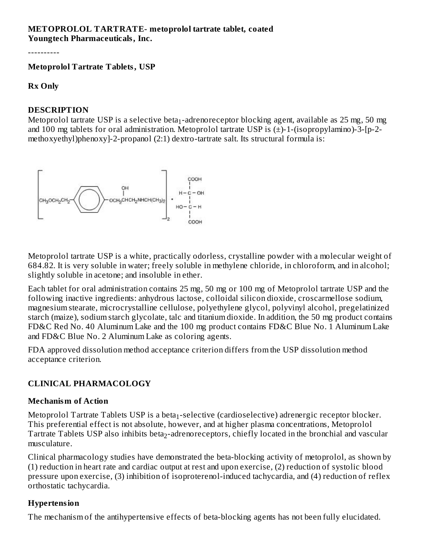#### **METOPROLOL TARTRATE- metoprolol tartrate tablet, coated Youngtech Pharmaceuticals, Inc.**

----------

**Metoprolol Tartrate Tablets, USP**

#### **Rx Only**

#### **DESCRIPTION**

Metoprolol tartrate USP is a selective beta $_1$ -adrenoreceptor blocking agent, available as 25 mg, 50 mg and 100 mg tablets for oral administration. Metoprolol tartrate USP is (±)-1-(isopropylamino)-3-[p-2 methoxyethyl)phenoxy]-2-propanol (2:1) dextro-tartrate salt. Its structural formula is:



Metoprolol tartrate USP is a white, practically odorless, crystalline powder with a molecular weight of 684.82. It is very soluble in water; freely soluble in methylene chloride, in chloroform, and in alcohol; slightly soluble in acetone; and insoluble in ether.

Each tablet for oral administration contains 25 mg, 50 mg or 100 mg of Metoprolol tartrate USP and the following inactive ingredients: anhydrous lactose, colloidal silicon dioxide, croscarmellose sodium, magnesium stearate, microcrystalline cellulose, polyethylene glycol, polyvinyl alcohol, pregelatinized starch (maize), sodium starch glycolate, talc and titanium dioxide. In addition, the 50 mg product contains FD&C Red No. 40 Aluminum Lake and the 100 mg product contains FD&C Blue No. 1 Aluminum Lake and FD&C Blue No. 2 Aluminum Lake as coloring agents.

FDA approved dissolution method acceptance criterion differs from the USP dissolution method acceptance criterion.

### **CLINICAL PHARMACOLOGY**

#### **Mechanism of Action**

Metoprolol Tartrate Tablets USP is a beta $_1$ -selective (cardioselective) adrenergic receptor blocker. This preferential effect is not absolute, however, and at higher plasma concentrations, Metoprolol Tartrate Tablets USP also inhibits beta $_2$ -adrenoreceptors, chiefly located in the bronchial and vascular musculature.

Clinical pharmacology studies have demonstrated the beta-blocking activity of metoprolol, as shown by (1) reduction in heart rate and cardiac output at rest and upon exercise, (2) reduction of systolic blood pressure upon exercise, (3) inhibition of isoproterenol-induced tachycardia, and (4) reduction of reflex orthostatic tachycardia.

### **Hypertension**

The mechanism of the antihypertensive effects of beta-blocking agents has not been fully elucidated.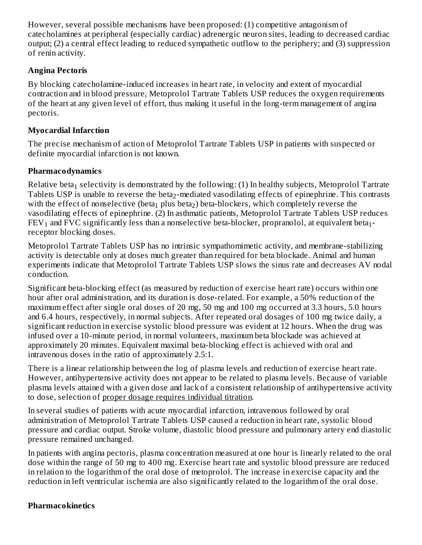However, several possible mechanisms have been proposed: (1) competitive antagonism of catecholamines at peripheral (especially cardiac) adrenergic neuron sites, leading to decreased cardiac output; (2) a central effect leading to reduced sympathetic outflow to the periphery; and (3) suppression of renin activity.

### **Angina Pectoris**

By blocking catecholamine-induced increases in heart rate, in velocity and extent of myocardial contraction and in blood pressure, Metoprolol Tartrate Tablets USP reduces the oxygen requirements of the heart at any given level of effort, thus making it useful in the long-term management of angina pectoris.

### **Myocardial Infarction**

The precise mechanism of action of Metoprolol Tartrate Tablets USP in patients with suspected or definite myocardial infarction is not known.

### **Pharmacodynamics**

Relative beta $_1$  selectivity is demonstrated by the following: (1) In healthy subjects, Metoprolol Tartrate Tablets USP is unable to reverse the beta $_2$ -mediated vasodilating effects of epinephrine. This contrasts with the effect of nonselective (beta $_1$  plus beta $_2$ ) beta-blockers, which completely reverse the vasodilating effects of epinephrine. (2) In asthmatic patients, Metoprolol Tartrate Tablets USP reduces  ${\rm FEV}_1$  and  ${\rm FVC}$  significantly less than a nonselective beta-blocker, propranolol, at equivalent beta $_1$ receptor blocking doses.

Metoprolol Tartrate Tablets USP has no intrinsic sympathomimetic activity, and membrane-stabilizing activity is detectable only at doses much greater than required for beta blockade. Animal and human experiments indicate that Metoprolol Tartrate Tablets USP slows the sinus rate and decreases AV nodal conduction.

Significant beta-blocking effect (as measured by reduction of exercise heart rate) occurs within one hour after oral administration, and its duration is dose-related. For example, a 50% reduction of the maximum effect after single oral doses of 20 mg, 50 mg and 100 mg occurred at 3.3 hours, 5.0 hours and 6.4 hours, respectively, in normal subjects. After repeated oral dosages of 100 mg twice daily, a significant reduction in exercise systolic blood pressure was evident at 12 hours. When the drug was infused over a 10-minute period, in normal volunteers, maximum beta blockade was achieved at approximately 20 minutes. Equivalent maximal beta-blocking effect is achieved with oral and intravenous doses in the ratio of approximately 2.5:1.

There is a linear relationship between the log of plasma levels and reduction of exercise heart rate. However, antihypertensive activity does not appear to be related to plasma levels. Because of variable plasma levels attained with a given dose and lack of a consistent relationship of antihypertensive activity to dose, selection of proper dosage requires individual titration.

In several studies of patients with acute myocardial infarction, intravenous followed by oral administration of Metoprolol Tartrate Tablets USP caused a reduction in heart rate, systolic blood pressure and cardiac output. Stroke volume, diastolic blood pressure and pulmonary artery end diastolic pressure remained unchanged.

In patients with angina pectoris, plasma concentration measured at one hour is linearly related to the oral dose within the range of 50 mg to 400 mg. Exercise heart rate and systolic blood pressure are reduced in relation to the logarithm of the oral dose of metoprolol. The increase in exercise capacity and the reduction in left ventricular ischemia are also significantly related to the logarithm of the oral dose.

### **Pharmacokinetics**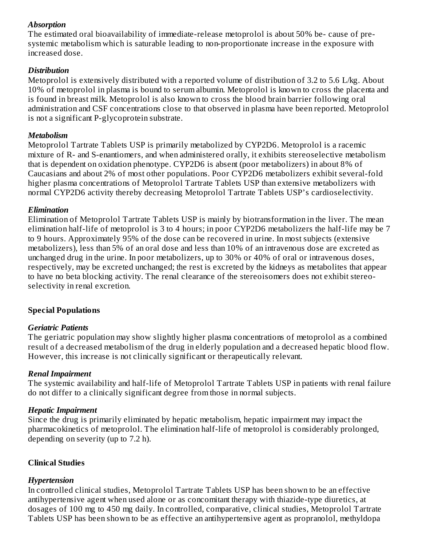### *Absorption*

The estimated oral bioavailability of immediate-release metoprolol is about 50% be- cause of presystemic metabolism which is saturable leading to non-proportionate increase in the exposure with increased dose.

### *Distribution*

Metoprolol is extensively distributed with a reported volume of distribution of 3.2 to 5.6 L/kg. About 10% of metoprolol in plasma is bound to serum albumin. Metoprolol is known to cross the placenta and is found in breast milk. Metoprolol is also known to cross the blood brain barrier following oral administration and CSF concentrations close to that observed in plasma have been reported. Metoprolol is not a significant P-glycoprotein substrate.

### *Metabolism*

Metoprolol Tartrate Tablets USP is primarily metabolized by CYP2D6. Metoprolol is a racemic mixture of R- and S-enantiomers, and when administered orally, it exhibits stereoselective metabolism that is dependent on oxidation phenotype. CYP2D6 is absent (poor metabolizers) in about 8% of Caucasians and about 2% of most other populations. Poor CYP2D6 metabolizers exhibit several-fold higher plasma concentrations of Metoprolol Tartrate Tablets USP than extensive metabolizers with normal CYP2D6 activity thereby decreasing Metoprolol Tartrate Tablets USP's cardioselectivity.

### *Elimination*

Elimination of Metoprolol Tartrate Tablets USP is mainly by biotransformation in the liver. The mean elimination half-life of metoprolol is 3 to 4 hours; in poor CYP2D6 metabolizers the half-life may be 7 to 9 hours. Approximately 95% of the dose can be recovered in urine. In most subjects (extensive metabolizers), less than 5% of an oral dose and less than 10% of an intravenous dose are excreted as unchanged drug in the urine. In poor metabolizers, up to 30% or 40% of oral or intravenous doses, respectively, may be excreted unchanged; the rest is excreted by the kidneys as metabolites that appear to have no beta blocking activity. The renal clearance of the stereoisomers does not exhibit stereoselectivity in renal excretion.

## **Special Populations**

## *Geriatric Patients*

The geriatric population may show slightly higher plasma concentrations of metoprolol as a combined result of a decreased metabolism of the drug in elderly population and a decreased hepatic blood flow. However, this increase is not clinically significant or therapeutically relevant.

### *Renal Impairment*

The systemic availability and half-life of Metoprolol Tartrate Tablets USP in patients with renal failure do not differ to a clinically significant degree from those in normal subjects.

### *Hepatic Impairment*

Since the drug is primarily eliminated by hepatic metabolism, hepatic impairment may impact the pharmacokinetics of metoprolol. The elimination half-life of metoprolol is considerably prolonged, depending on severity (up to 7.2 h).

## **Clinical Studies**

## *Hypertension*

In controlled clinical studies, Metoprolol Tartrate Tablets USP has been shown to be an effective antihypertensive agent when used alone or as concomitant therapy with thiazide-type diuretics, at dosages of 100 mg to 450 mg daily. In controlled, comparative, clinical studies, Metoprolol Tartrate Tablets USP has been shown to be as effective an antihypertensive agent as propranolol, methyldopa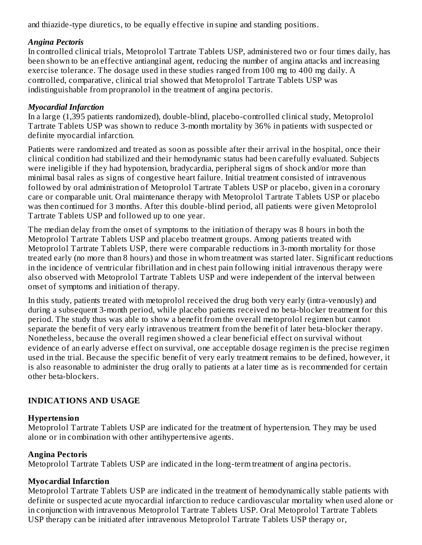and thiazide-type diuretics, to be equally effective in supine and standing positions.

### *Angina Pectoris*

In controlled clinical trials, Metoprolol Tartrate Tablets USP, administered two or four times daily, has been shown to be an effective antianginal agent, reducing the number of angina attacks and increasing exercise tolerance. The dosage used in these studies ranged from 100 mg to 400 mg daily. A controlled, comparative, clinical trial showed that Metoprolol Tartrate Tablets USP was indistinguishable from propranolol in the treatment of angina pectoris.

### *Myocardial Infarction*

In a large (1,395 patients randomized), double-blind, placebo-controlled clinical study, Metoprolol Tartrate Tablets USP was shown to reduce 3-month mortality by 36% in patients with suspected or definite myocardial infarction.

Patients were randomized and treated as soon as possible after their arrival in the hospital, once their clinical condition had stabilized and their hemodynamic status had been carefully evaluated. Subjects were ineligible if they had hypotension, bradycardia, peripheral signs of shock and/or more than minimal basal rales as signs of congestive heart failure. Initial treatment consisted of intravenous followed by oral administration of Metoprolol Tartrate Tablets USP or placebo, given in a coronary care or comparable unit. Oral maintenance therapy with Metoprolol Tartrate Tablets USP or placebo was then continued for 3 months. After this double-blind period, all patients were given Metoprolol Tartrate Tablets USP and followed up to one year.

The median delay from the onset of symptoms to the initiation of therapy was 8 hours in both the Metoprolol Tartrate Tablets USP and placebo treatment groups. Among patients treated with Metoprolol Tartrate Tablets USP, there were comparable reductions in 3-month mortality for those treated early (no more than 8 hours) and those in whom treatment was started later. Significant reductions in the incidence of ventricular fibrillation and in chest pain following initial intravenous therapy were also observed with Metoprolol Tartrate Tablets USP and were independent of the interval between onset of symptoms and initiation of therapy.

In this study, patients treated with metoprolol received the drug both very early (intra-venously) and during a subsequent 3-month period, while placebo patients received no beta-blocker treatment for this period. The study thus was able to show a benefit from the overall metoprolol regimen but cannot separate the benefit of very early intravenous treatment from the benefit of later beta-blocker therapy. Nonetheless, because the overall regimen showed a clear beneficial effect on survival without evidence of an early adverse effect on survival, one acceptable dosage regimen is the precise regimen used in the trial. Because the specific benefit of very early treatment remains to be defined, however, it is also reasonable to administer the drug orally to patients at a later time as is recommended for certain other beta-blockers.

## **INDICATIONS AND USAGE**

### **Hypertension**

Metoprolol Tartrate Tablets USP are indicated for the treatment of hypertension. They may be used alone or in combination with other antihypertensive agents.

## **Angina Pectoris**

Metoprolol Tartrate Tablets USP are indicated in the long-term treatment of angina pectoris.

## **Myocardial Infarction**

Metoprolol Tartrate Tablets USP are indicated in the treatment of hemodynamically stable patients with definite or suspected acute myocardial infarction to reduce cardiovascular mortality when used alone or in conjunction with intravenous Metoprolol Tartrate Tablets USP. Oral Metoprolol Tartrate Tablets USP therapy can be initiated after intravenous Metoprolol Tartrate Tablets USP therapy or,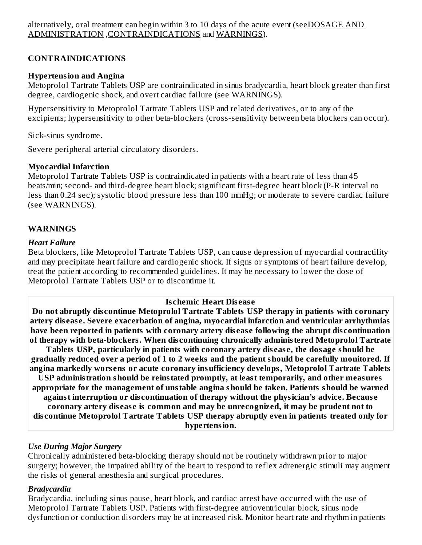### **CONTRAINDICATIONS**

### **Hypertension and Angina**

Metoprolol Tartrate Tablets USP are contraindicated in sinus bradycardia, heart block greater than first degree, cardiogenic shock, and overt cardiac failure (see WARNINGS).

Hypersensitivity to Metoprolol Tartrate Tablets USP and related derivatives, or to any of the excipients; hypersensitivity to other beta-blockers (cross-sensitivity between beta blockers can occur).

Sick-sinus syndrome.

Severe peripheral arterial circulatory disorders.

### **Myocardial Infarction**

Metoprolol Tartrate Tablets USP is contraindicated in patients with a heart rate of less than 45 beats/min; second- and third-degree heart block; significant first-degree heart block (P-R interval no less than 0.24 sec); systolic blood pressure less than 100 mmHg; or moderate to severe cardiac failure (see WARNINGS).

### **WARNINGS**

#### *Heart Failure*

Beta blockers, like Metoprolol Tartrate Tablets USP, can cause depression of myocardial contractility and may precipitate heart failure and cardiogenic shock. If signs or symptoms of heart failure develop, treat the patient according to recommended guidelines. It may be necessary to lower the dose of Metoprolol Tartrate Tablets USP or to discontinue it.

#### **Is chemic Heart Dis eas e**

**Do not abruptly dis continue Metoprolol Tartrate Tablets USP therapy in patients with coronary artery dis eas e. Severe exacerbation of angina, myocardial infarction and ventricular arrhythmias have been reported in patients with coronary artery dis eas e following the abrupt dis continuation of therapy with beta-blockers. When dis continuing chronically administered Metoprolol Tartrate**

**Tablets USP, particularly in patients with coronary artery dis eas e, the dosage should be gradually reduced over a period of 1 to 2 weeks and the patient should be carefully monitored. If angina markedly wors ens or acute coronary insufficiency develops, Metoprolol Tartrate Tablets USP administration should be reinstated promptly, at least temporarily, and other measures appropriate for the management of unstable angina should be taken. Patients should be warned against interruption or dis continuation of therapy without the physician's advice. Becaus e coronary artery dis eas e is common and may be unrecognized, it may be prudent not to dis continue Metoprolol Tartrate Tablets USP therapy abruptly even in patients treated only for hypertension.**

### *Use During Major Surgery*

Chronically administered beta-blocking therapy should not be routinely withdrawn prior to major surgery; however, the impaired ability of the heart to respond to reflex adrenergic stimuli may augment the risks of general anesthesia and surgical procedures.

### *Bradycardia*

Bradycardia, including sinus pause, heart block, and cardiac arrest have occurred with the use of Metoprolol Tartrate Tablets USP. Patients with first-degree atrioventricular block, sinus node dysfunction or conduction disorders may be at increased risk. Monitor heart rate and rhythm in patients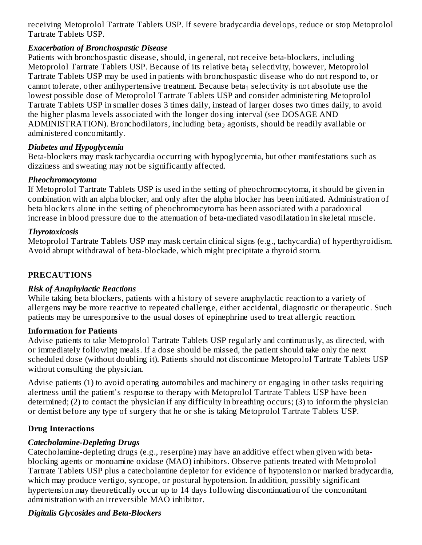receiving Metoprolol Tartrate Tablets USP. If severe bradycardia develops, reduce or stop Metoprolol Tartrate Tablets USP.

### *Exacerbation of Bronchospastic Disease*

Patients with bronchospastic disease, should, in general, not receive beta-blockers, including Metoprolol Tartrate Tablets USP. Because of its relative beta $_1$  selectivity, however, Metoprolol Tartrate Tablets USP may be used in patients with bronchospastic disease who do not respond to, or cannot tolerate, other antihypertensive treatment. Because beta $_1$  selectivity is not absolute use the lowest possible dose of Metoprolol Tartrate Tablets USP and consider administering Metoprolol Tartrate Tablets USP in smaller doses 3 times daily, instead of larger doses two times daily, to avoid the higher plasma levels associated with the longer dosing interval (see DOSAGE AND  $\mathop{\rm ADMINISTRATION}$ ). Bronchodilators, including beta $_2$  agonists, should be readily available or administered concomitantly.

## *Diabetes and Hypoglycemia*

Beta-blockers may mask tachycardia occurring with hypoglycemia, but other manifestations such as dizziness and sweating may not be significantly affected.

### *Pheochromocytoma*

If Metoprolol Tartrate Tablets USP is used in the setting of pheochromocytoma, it should be given in combination with an alpha blocker, and only after the alpha blocker has been initiated. Administration of beta blockers alone in the setting of pheochromocytoma has been associated with a paradoxical increase in blood pressure due to the attenuation of beta-mediated vasodilatation in skeletal muscle.

### *Thyrotoxicosis*

Metoprolol Tartrate Tablets USP may mask certain clinical signs (e.g., tachycardia) of hyperthyroidism. Avoid abrupt withdrawal of beta-blockade, which might precipitate a thyroid storm.

## **PRECAUTIONS**

## *Risk of Anaphylactic Reactions*

While taking beta blockers, patients with a history of severe anaphylactic reaction to a variety of allergens may be more reactive to repeated challenge, either accidental, diagnostic or therapeutic. Such patients may be unresponsive to the usual doses of epinephrine used to treat allergic reaction.

## **Information for Patients**

Advise patients to take Metoprolol Tartrate Tablets USP regularly and continuously, as directed, with or immediately following meals. If a dose should be missed, the patient should take only the next scheduled dose (without doubling it). Patients should not discontinue Metoprolol Tartrate Tablets USP without consulting the physician.

Advise patients (1) to avoid operating automobiles and machinery or engaging in other tasks requiring alertness until the patient's response to therapy with Metoprolol Tartrate Tablets USP have been determined; (2) to contact the physician if any difficulty in breathing occurs; (3) to inform the physician or dentist before any type of surgery that he or she is taking Metoprolol Tartrate Tablets USP.

# **Drug Interactions**

## *Catecholamine-Depleting Drugs*

Catecholamine-depleting drugs (e.g., reserpine) may have an additive effect when given with betablocking agents or monoamine oxidase (MAO) inhibitors. Observe patients treated with Metoprolol Tartrate Tablets USP plus a catecholamine depletor for evidence of hypotension or marked bradycardia, which may produce vertigo, syncope, or postural hypotension. In addition, possibly significant hypertension may theoretically occur up to 14 days following discontinuation of the concomitant administration with an irreversible MAO inhibitor.

## *Digitalis Glycosides and Beta-Blockers*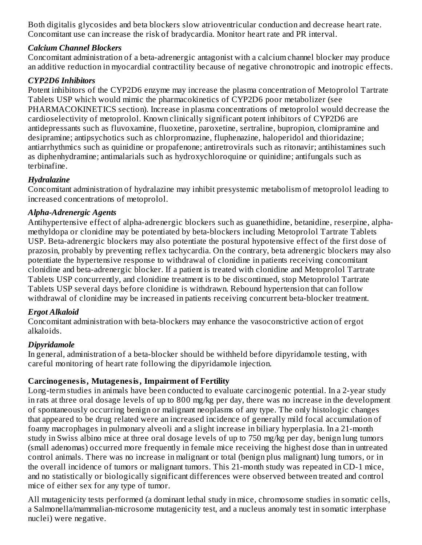Both digitalis glycosides and beta blockers slow atrioventricular conduction and decrease heart rate. Concomitant use can increase the risk of bradycardia. Monitor heart rate and PR interval.

### *Calcium Channel Blockers*

Concomitant administration of a beta-adrenergic antagonist with a calcium channel blocker may produce an additive reduction in myocardial contractility because of negative chronotropic and inotropic effects.

### *CYP2D6 Inhibitors*

Potent inhibitors of the CYP2D6 enzyme may increase the plasma concentration of Metoprolol Tartrate Tablets USP which would mimic the pharmacokinetics of CYP2D6 poor metabolizer (see PHARMACOKINETICS section). Increase in plasma concentrations of metoprolol would decrease the cardioselectivity of metoprolol. Known clinically significant potent inhibitors of CYP2D6 are antidepressants such as fluvoxamine, fluoxetine, paroxetine, sertraline, bupropion, clomipramine and desipramine; antipsychotics such as chlorpromazine, fluphenazine, haloperidol and thioridazine; antiarrhythmics such as quinidine or propafenone; antiretrovirals such as ritonavir; antihistamines such as diphenhydramine; antimalarials such as hydroxychloroquine or quinidine; antifungals such as terbinafine.

## *Hydralazine*

Concomitant administration of hydralazine may inhibit presystemic metabolism of metoprolol leading to increased concentrations of metoprolol.

## *Alpha-Adrenergic Agents*

Antihypertensive effect of alpha-adrenergic blockers such as guanethidine, betanidine, reserpine, alphamethyldopa or clonidine may be potentiated by beta-blockers including Metoprolol Tartrate Tablets USP. Beta-adrenergic blockers may also potentiate the postural hypotensive effect of the first dose of prazosin, probably by preventing reflex tachycardia. On the contrary, beta adrenergic blockers may also potentiate the hypertensive response to withdrawal of clonidine in patients receiving concomitant clonidine and beta-adrenergic blocker. If a patient is treated with clonidine and Metoprolol Tartrate Tablets USP concurrently, and clonidine treatment is to be discontinued, stop Metoprolol Tartrate Tablets USP several days before clonidine is withdrawn. Rebound hypertension that can follow withdrawal of clonidine may be increased in patients receiving concurrent beta-blocker treatment.

## *Ergot Alkaloid*

Concomitant administration with beta-blockers may enhance the vasoconstrictive action of ergot alkaloids.

# *Dipyridamole*

In general, administration of a beta-blocker should be withheld before dipyridamole testing, with careful monitoring of heart rate following the dipyridamole injection.

## **Carcinogenesis, Mutagenesis, Impairment of Fertility**

Long-term studies in animals have been conducted to evaluate carcinogenic potential. In a 2-year study in rats at three oral dosage levels of up to 800 mg/kg per day, there was no increase in the development of spontaneously occurring benign or malignant neoplasms of any type. The only histologic changes that appeared to be drug related were an increased incidence of generally mild focal accumulation of foamy macrophages in pulmonary alveoli and a slight increase in biliary hyperplasia. In a 21-month study in Swiss albino mice at three oral dosage levels of up to 750 mg/kg per day, benign lung tumors (small adenomas) occurred more frequently in female mice receiving the highest dose than in untreated control animals. There was no increase in malignant or total (benign plus malignant) lung tumors, or in the overall incidence of tumors or malignant tumors. This 21-month study was repeated in CD-1 mice, and no statistically or biologically significant differences were observed between treated and control mice of either sex for any type of tumor.

All mutagenicity tests performed (a dominant lethal study in mice, chromosome studies in somatic cells, a Salmonella/mammalian-microsome mutagenicity test, and a nucleus anomaly test in somatic interphase nuclei) were negative.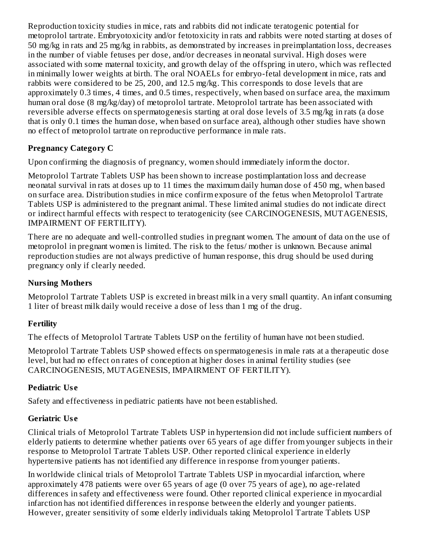Reproduction toxicity studies in mice, rats and rabbits did not indicate teratogenic potential for metoprolol tartrate. Embryotoxicity and/or fetotoxicity in rats and rabbits were noted starting at doses of 50 mg/kg in rats and 25 mg/kg in rabbits, as demonstrated by increases in preimplantation loss, decreases in the number of viable fetuses per dose, and/or decreases in neonatal survival. High doses were associated with some maternal toxicity, and growth delay of the offspring in utero, which was reflected in minimally lower weights at birth. The oral NOAELs for embryo-fetal development in mice, rats and rabbits were considered to be 25, 200, and 12.5 mg/kg. This corresponds to dose levels that are approximately 0.3 times, 4 times, and 0.5 times, respectively, when based on surface area, the maximum human oral dose (8 mg/kg/day) of metoprolol tartrate. Metoprolol tartrate has been associated with reversible adverse effects on spermatogenesis starting at oral dose levels of 3.5 mg/kg in rats (a dose that is only 0.1 times the human dose, when based on surface area), although other studies have shown no effect of metoprolol tartrate on reproductive performance in male rats.

# **Pregnancy Category C**

Upon confirming the diagnosis of pregnancy, women should immediately inform the doctor.

Metoprolol Tartrate Tablets USP has been shown to increase postimplantation loss and decrease neonatal survival in rats at doses up to 11 times the maximum daily human dose of 450 mg, when based on surface area. Distribution studies in mice confirm exposure of the fetus when Metoprolol Tartrate Tablets USP is administered to the pregnant animal. These limited animal studies do not indicate direct or indirect harmful effects with respect to teratogenicity (see CARCINOGENESIS, MUTAGENESIS, IMPAIRMENT OF FERTILITY).

There are no adequate and well-controlled studies in pregnant women. The amount of data on the use of metoprolol in pregnant women is limited. The risk to the fetus/ mother is unknown. Because animal reproduction studies are not always predictive of human response, this drug should be used during pregnancy only if clearly needed.

## **Nursing Mothers**

Metoprolol Tartrate Tablets USP is excreted in breast milk in a very small quantity. An infant consuming 1 liter of breast milk daily would receive a dose of less than 1 mg of the drug.

## **Fertility**

The effects of Metoprolol Tartrate Tablets USP on the fertility of human have not been studied.

Metoprolol Tartrate Tablets USP showed effects on spermatogenesis in male rats at a therapeutic dose level, but had no effect on rates of conception at higher doses in animal fertility studies (see CARCINOGENESIS, MUTAGENESIS, IMPAIRMENT OF FERTILITY).

## **Pediatric Us e**

Safety and effectiveness in pediatric patients have not been established.

## **Geriatric Us e**

Clinical trials of Metoprolol Tartrate Tablets USP in hypertension did not include sufficient numbers of elderly patients to determine whether patients over 65 years of age differ from younger subjects in their response to Metoprolol Tartrate Tablets USP. Other reported clinical experience in elderly hypertensive patients has not identified any difference in response from younger patients.

In worldwide clinical trials of Metoprolol Tartrate Tablets USP in myocardial infarction, where approximately 478 patients were over 65 years of age (0 over 75 years of age), no age-related differences in safety and effectiveness were found. Other reported clinical experience in myocardial infarction has not identified differences in response between the elderly and younger patients. However, greater sensitivity of some elderly individuals taking Metoprolol Tartrate Tablets USP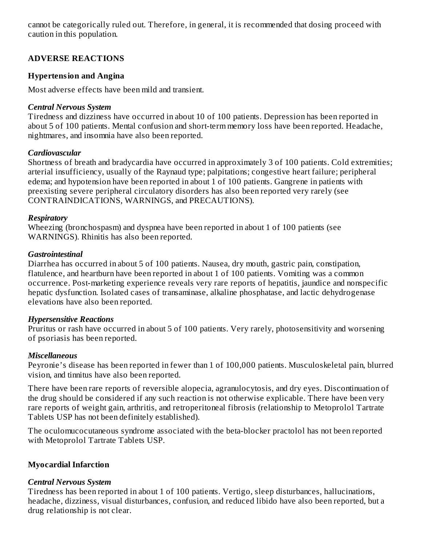cannot be categorically ruled out. Therefore, in general, it is recommended that dosing proceed with caution in this population.

## **ADVERSE REACTIONS**

### **Hypertension and Angina**

Most adverse effects have been mild and transient.

#### *Central Nervous System*

Tiredness and dizziness have occurred in about 10 of 100 patients. Depression has been reported in about 5 of 100 patients. Mental confusion and short-term memory loss have been reported. Headache, nightmares, and insomnia have also been reported.

### *Cardiovascular*

Shortness of breath and bradycardia have occurred in approximately 3 of 100 patients. Cold extremities; arterial insufficiency, usually of the Raynaud type; palpitations; congestive heart failure; peripheral edema; and hypotension have been reported in about 1 of 100 patients. Gangrene in patients with preexisting severe peripheral circulatory disorders has also been reported very rarely (see CONTRAINDICATIONS, WARNINGS, and PRECAUTIONS).

#### *Respiratory*

Wheezing (bronchospasm) and dyspnea have been reported in about 1 of 100 patients (see WARNINGS). Rhinitis has also been reported.

#### *Gastrointestinal*

Diarrhea has occurred in about 5 of 100 patients. Nausea, dry mouth, gastric pain, constipation, flatulence, and heartburn have been reported in about 1 of 100 patients. Vomiting was a common occurrence. Post-marketing experience reveals very rare reports of hepatitis, jaundice and nonspecific hepatic dysfunction. Isolated cases of transaminase, alkaline phosphatase, and lactic dehydrogenase elevations have also been reported.

### *Hypersensitive Reactions*

Pruritus or rash have occurred in about 5 of 100 patients. Very rarely, photosensitivity and worsening of psoriasis has been reported.

### *Miscellaneous*

Peyronie's disease has been reported in fewer than 1 of 100,000 patients. Musculoskeletal pain, blurred vision, and tinnitus have also been reported.

There have been rare reports of reversible alopecia, agranulocytosis, and dry eyes. Discontinuation of the drug should be considered if any such reaction is not otherwise explicable. There have been very rare reports of weight gain, arthritis, and retroperitoneal fibrosis (relationship to Metoprolol Tartrate Tablets USP has not been definitely established).

The oculomucocutaneous syndrome associated with the beta-blocker practolol has not been reported with Metoprolol Tartrate Tablets USP.

### **Myocardial Infarction**

### *Central Nervous System*

Tiredness has been reported in about 1 of 100 patients. Vertigo, sleep disturbances, hallucinations, headache, dizziness, visual disturbances, confusion, and reduced libido have also been reported, but a drug relationship is not clear.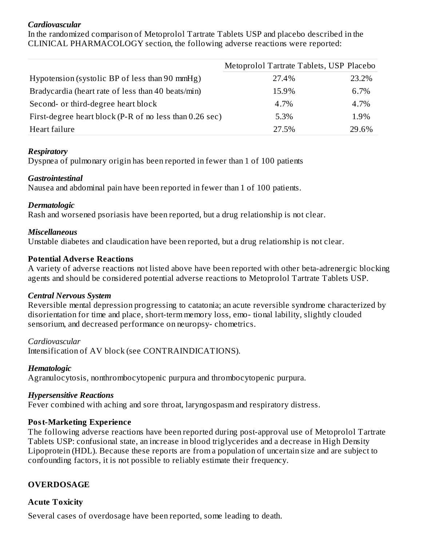#### *Cardiovascular*

In the randomized comparison of Metoprolol Tartrate Tablets USP and placebo described in the CLINICAL PHARMACOLOGY section, the following adverse reactions were reported:

|                                                         | Metoprolol Tartrate Tablets, USP Placebo |       |
|---------------------------------------------------------|------------------------------------------|-------|
| Hypotension (systolic BP of less than 90 mmHg)          | 27.4%                                    | 23.2% |
| Bradycardia (heart rate of less than 40 beats/min)      | 15.9%                                    | 6.7%  |
| Second- or third-degree heart block                     | 4.7%                                     | 4.7%  |
| First-degree heart block (P-R of no less than 0.26 sec) | 5.3%                                     | 1.9%  |
| Heart failure                                           | 27.5%                                    | 29.6% |

#### *Respiratory*

Dyspnea of pulmonary origin has been reported in fewer than 1 of 100 patients

#### *Gastrointestinal*

Nausea and abdominal pain have been reported in fewer than 1 of 100 patients.

#### *Dermatologic*

Rash and worsened psoriasis have been reported, but a drug relationship is not clear.

### *Miscellaneous*

Unstable diabetes and claudication have been reported, but a drug relationship is not clear.

### **Potential Advers e Reactions**

A variety of adverse reactions not listed above have been reported with other beta-adrenergic blocking agents and should be considered potential adverse reactions to Metoprolol Tartrate Tablets USP.

### *Central Nervous System*

Reversible mental depression progressing to catatonia; an acute reversible syndrome characterized by disorientation for time and place, short-term memory loss, emo- tional lability, slightly clouded sensorium, and decreased performance on neuropsy- chometrics.

### *Cardiovascular*

Intensification of AV block (see CONTRAINDICATIONS).

### *Hematologic*

Agranulocytosis, nonthrombocytopenic purpura and thrombocytopenic purpura.

### *Hypersensitive Reactions*

Fever combined with aching and sore throat, laryngospasm and respiratory distress.

### **Post-Marketing Experience**

The following adverse reactions have been reported during post-approval use of Metoprolol Tartrate Tablets USP: confusional state, an increase in blood triglycerides and a decrease in High Density Lipoprotein (HDL). Because these reports are from a population of uncertain size and are subject to confounding factors, it is not possible to reliably estimate their frequency.

## **OVERDOSAGE**

## **Acute Toxicity**

Several cases of overdosage have been reported, some leading to death.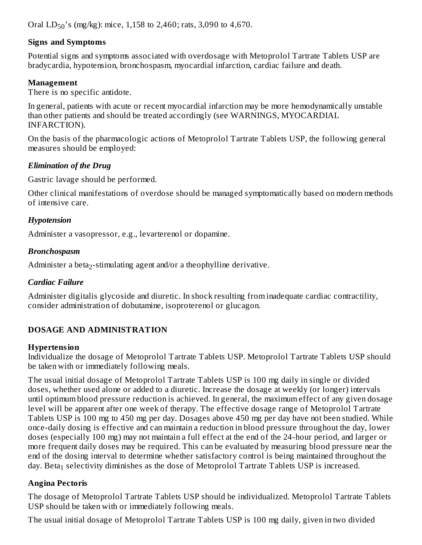Oral  $LD_{50}$ 's (mg/kg): mice, 1,158 to 2,460; rats, 3,090 to 4,670.

### **Signs and Symptoms**

Potential signs and symptoms associated with overdosage with Metoprolol Tartrate Tablets USP are bradycardia, hypotension, bronchospasm, myocardial infarction, cardiac failure and death.

### **Management**

There is no specific antidote.

In general, patients with acute or recent myocardial infarction may be more hemodynamically unstable than other patients and should be treated accordingly (see WARNINGS, MYOCARDIAL INFARCTION).

On the basis of the pharmacologic actions of Metoprolol Tartrate Tablets USP, the following general measures should be employed:

### *Elimination of the Drug*

Gastric lavage should be performed.

Other clinical manifestations of overdose should be managed symptomatically based on modern methods of intensive care.

## *Hypotension*

Administer a vasopressor, e.g., levarterenol or dopamine.

## *Bronchospasm*

Administer a beta $_2$ -stimulating agent and/or a theophylline derivative.

## *Cardiac Failure*

Administer digitalis glycoside and diuretic. In shock resulting from inadequate cardiac contractility, consider administration of dobutamine, isoproterenol or glucagon.

# **DOSAGE AND ADMINISTRATION**

### **Hypertension**

Individualize the dosage of Metoprolol Tartrate Tablets USP. Metoprolol Tartrate Tablets USP should be taken with or immediately following meals.

The usual initial dosage of Metoprolol Tartrate Tablets USP is 100 mg daily in single or divided doses, whether used alone or added to a diuretic. Increase the dosage at weekly (or longer) intervals until optimum blood pressure reduction is achieved. In general, the maximum effect of any given dosage level will be apparent after one week of therapy. The effective dosage range of Metoprolol Tartrate Tablets USP is 100 mg to 450 mg per day. Dosages above 450 mg per day have not been studied. While once-daily dosing is effective and can maintain a reduction in blood pressure throughout the day, lower doses (especially 100 mg) may not maintain a full effect at the end of the 24-hour period, and larger or more frequent daily doses may be required. This can be evaluated by measuring blood pressure near the end of the dosing interval to determine whether satisfactory control is being maintained throughout the day. Beta $_1$  selectivity diminishes as the dose of Metoprolol Tartrate Tablets USP is increased.

# **Angina Pectoris**

The dosage of Metoprolol Tartrate Tablets USP should be individualized. Metoprolol Tartrate Tablets USP should be taken with or immediately following meals.

The usual initial dosage of Metoprolol Tartrate Tablets USP is 100 mg daily, given in two divided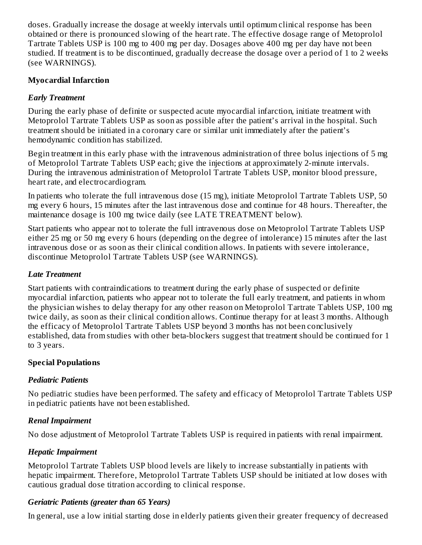doses. Gradually increase the dosage at weekly intervals until optimum clinical response has been obtained or there is pronounced slowing of the heart rate. The effective dosage range of Metoprolol Tartrate Tablets USP is 100 mg to 400 mg per day. Dosages above 400 mg per day have not been studied. If treatment is to be discontinued, gradually decrease the dosage over a period of 1 to 2 weeks (see WARNINGS).

#### **Myocardial Infarction**

#### *Early Treatment*

During the early phase of definite or suspected acute myocardial infarction, initiate treatment with Metoprolol Tartrate Tablets USP as soon as possible after the patient's arrival in the hospital. Such treatment should be initiated in a coronary care or similar unit immediately after the patient's hemodynamic condition has stabilized.

Begin treatment in this early phase with the intravenous administration of three bolus injections of 5 mg of Metoprolol Tartrate Tablets USP each; give the injections at approximately 2-minute intervals. During the intravenous administration of Metoprolol Tartrate Tablets USP, monitor blood pressure, heart rate, and electrocardiogram.

In patients who tolerate the full intravenous dose (15 mg), initiate Metoprolol Tartrate Tablets USP, 50 mg every 6 hours, 15 minutes after the last intravenous dose and continue for 48 hours. Thereafter, the maintenance dosage is 100 mg twice daily (see LATE TREATMENT below).

Start patients who appear not to tolerate the full intravenous dose on Metoprolol Tartrate Tablets USP either 25 mg or 50 mg every 6 hours (depending on the degree of intolerance) 15 minutes after the last intravenous dose or as soon as their clinical condition allows. In patients with severe intolerance, discontinue Metoprolol Tartrate Tablets USP (see WARNINGS).

#### *Late Treatment*

Start patients with contraindications to treatment during the early phase of suspected or definite myocardial infarction, patients who appear not to tolerate the full early treatment, and patients in whom the physician wishes to delay therapy for any other reason on Metoprolol Tartrate Tablets USP, 100 mg twice daily, as soon as their clinical condition allows. Continue therapy for at least 3 months. Although the efficacy of Metoprolol Tartrate Tablets USP beyond 3 months has not been conclusively established, data from studies with other beta-blockers suggest that treatment should be continued for 1 to 3 years.

### **Special Populations**

### *Pediatric Patients*

No pediatric studies have been performed. The safety and efficacy of Metoprolol Tartrate Tablets USP in pediatric patients have not been established.

### *Renal Impairment*

No dose adjustment of Metoprolol Tartrate Tablets USP is required in patients with renal impairment.

### *Hepatic Impairment*

Metoprolol Tartrate Tablets USP blood levels are likely to increase substantially in patients with hepatic impairment. Therefore, Metoprolol Tartrate Tablets USP should be initiated at low doses with cautious gradual dose titration according to clinical response.

### *Geriatric Patients (greater than 65 Years)*

In general, use a low initial starting dose in elderly patients given their greater frequency of decreased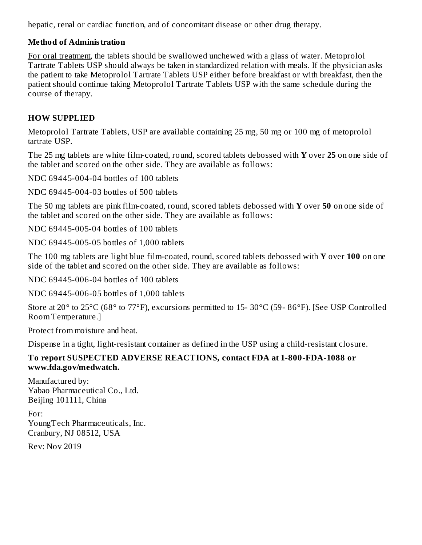hepatic, renal or cardiac function, and of concomitant disease or other drug therapy.

### **Method of Administration**

For oral treatment, the tablets should be swallowed unchewed with a glass of water. Metoprolol Tartrate Tablets USP should always be taken in standardized relation with meals. If the physician asks the patient to take Metoprolol Tartrate Tablets USP either before breakfast or with breakfast, then the patient should continue taking Metoprolol Tartrate Tablets USP with the same schedule during the course of therapy.

## **HOW SUPPLIED**

Metoprolol Tartrate Tablets, USP are available containing 25 mg, 50 mg or 100 mg of metoprolol tartrate USP.

The 25 mg tablets are white film-coated, round, scored tablets debossed with **Y** over **25** on one side of the tablet and scored on the other side. They are available as follows:

NDC 69445-004-04 bottles of 100 tablets

NDC 69445-004-03 bottles of 500 tablets

The 50 mg tablets are pink film-coated, round, scored tablets debossed with **Y** over **50** on one side of the tablet and scored on the other side. They are available as follows:

NDC 69445-005-04 bottles of 100 tablets

NDC 69445-005-05 bottles of 1,000 tablets

The 100 mg tablets are light blue film-coated, round, scored tablets debossed with **Y** over **100** on one side of the tablet and scored on the other side. They are available as follows:

NDC 69445-006-04 bottles of 100 tablets

NDC 69445-006-05 bottles of 1,000 tablets

Store at 20° to 25°C (68° to 77°F), excursions permitted to 15- 30°C (59- 86°F). [See USP Controlled Room Temperature.]

Protect from moisture and heat.

Dispense in a tight, light-resistant container as defined in the USP using a child-resistant closure.

### **To report SUSPECTED ADVERSE REACTIONS, contact FDA at 1-800-FDA-1088 or www.fda.gov/medwatch.**

Manufactured by: Yabao Pharmaceutical Co., Ltd. Beijing 101111, China

For: YoungTech Pharmaceuticals, Inc. Cranbury, NJ 08512, USA

Rev: Nov 2019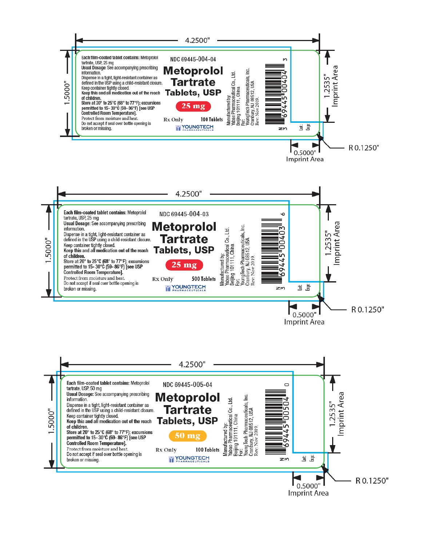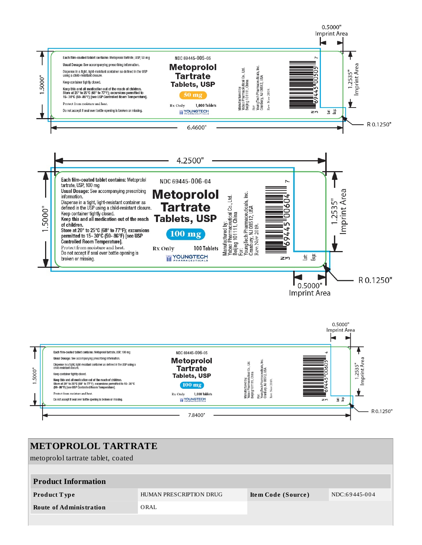

| <b>METOPROLOL TARTRATE</b>         |                         |                    |               |  |  |
|------------------------------------|-------------------------|--------------------|---------------|--|--|
| metoprolol tartrate tablet, coated |                         |                    |               |  |  |
|                                    |                         |                    |               |  |  |
| <b>Product Information</b>         |                         |                    |               |  |  |
| Product Type                       | HUMAN PRESCRIPTION DRUG | Item Code (Source) | NDC:69445-004 |  |  |
| <b>Route of Administration</b>     | ORAL                    |                    |               |  |  |
|                                    |                         |                    |               |  |  |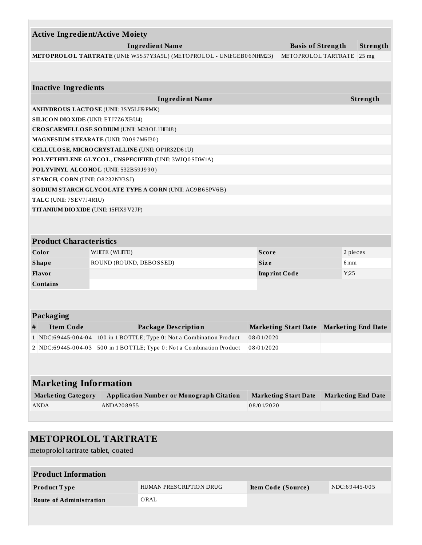| <b>Ingredient Name</b><br><b>Basis of Strength</b>                                           |  |                                                        |              |                                         |                           | Strength          |  |  |
|----------------------------------------------------------------------------------------------|--|--------------------------------------------------------|--------------|-----------------------------------------|---------------------------|-------------------|--|--|
| METOPROLOL TARTRATE (UNII: W5S57Y3A5L) (METOPROLOL - UNII:GEB06NHM23)<br>METOPROLOL TARTRATE |  |                                                        |              |                                         |                           | $ 25 \text{ mg} $ |  |  |
|                                                                                              |  |                                                        |              |                                         |                           |                   |  |  |
| <b>Inactive Ingredients</b>                                                                  |  |                                                        |              |                                         |                           |                   |  |  |
|                                                                                              |  | <b>Ingredient Name</b>                                 |              |                                         |                           | Strength          |  |  |
|                                                                                              |  | ANHYDROUS LACTOSE (UNII: 3SY5LH9 PMK)                  |              |                                         |                           |                   |  |  |
|                                                                                              |  | <b>SILICON DIO XIDE (UNII: ETJ7Z6 XBU4)</b>            |              |                                         |                           |                   |  |  |
|                                                                                              |  | CROSCARMELLOSE SODIUM (UNII: M28OL1HH48)               |              |                                         |                           |                   |  |  |
|                                                                                              |  | MAGNESIUM STEARATE (UNII: 70097M6I30)                  |              |                                         |                           |                   |  |  |
|                                                                                              |  | CELLULOSE, MICRO CRYSTALLINE (UNII: OP1R32D61U)        |              |                                         |                           |                   |  |  |
|                                                                                              |  | POLYETHYLENE GLYCOL, UNSPECIFIED (UNII: 3WJQ0SDW1A)    |              |                                         |                           |                   |  |  |
|                                                                                              |  | POLYVINYL ALCOHOL (UNII: 532B59J990)                   |              |                                         |                           |                   |  |  |
| STARCH, CORN (UNII: O8232NY3SJ)                                                              |  |                                                        |              |                                         |                           |                   |  |  |
|                                                                                              |  | SODIUM STARCH GLYCOLATE TYPE A CORN (UNII: AG9B65PV6B) |              |                                         |                           |                   |  |  |
|                                                                                              |  | TALC (UNII: 7SEV7J4R1U)                                |              |                                         |                           |                   |  |  |
| TITANIUM DIO XIDE (UNII: 15FIX9 V2JP)                                                        |  |                                                        |              |                                         |                           |                   |  |  |
|                                                                                              |  |                                                        |              |                                         |                           |                   |  |  |
|                                                                                              |  | WHITE (WHITE)                                          | <b>Score</b> |                                         | 2 pieces                  |                   |  |  |
| <b>Product Characteristics</b><br>Color<br><b>Shape</b>                                      |  | ROUND (ROUND, DEBOSSED)                                | <b>Size</b>  |                                         | 6 <sub>mm</sub>           |                   |  |  |
| Flavor                                                                                       |  |                                                        |              | <b>Imprint Code</b>                     | Y;25                      |                   |  |  |
| <b>Contains</b>                                                                              |  |                                                        |              |                                         |                           |                   |  |  |
|                                                                                              |  |                                                        |              |                                         |                           |                   |  |  |
|                                                                                              |  |                                                        |              |                                         |                           |                   |  |  |
|                                                                                              |  |                                                        |              |                                         |                           |                   |  |  |
| <b>Item Code</b>                                                                             |  | <b>Package Description</b>                             |              | Marketing Start Date Marketing End Date |                           |                   |  |  |
|                                                                                              |  | 100 in 1 BOTTLE; Type 0: Not a Combination Product     | 08/01/2020   |                                         |                           |                   |  |  |
|                                                                                              |  | 500 in 1 BOTTLE; Type 0: Not a Combination Product     | 08/01/2020   |                                         |                           |                   |  |  |
| Packaging<br>#<br>1   NDC:69445-004-04<br>2 NDC:69445-004-03                                 |  |                                                        |              |                                         |                           |                   |  |  |
|                                                                                              |  |                                                        |              |                                         |                           |                   |  |  |
|                                                                                              |  |                                                        |              |                                         |                           |                   |  |  |
| <b>Marketing Information</b><br><b>Marketing Category</b>                                    |  | <b>Application Number or Monograph Citation</b>        |              | <b>Marketing Start Date</b>             | <b>Marketing End Date</b> |                   |  |  |
| <b>ANDA</b>                                                                                  |  | ANDA208955                                             | 08/01/2020   |                                         |                           |                   |  |  |

metoprolol tartrate tablet, coated

| <b>Product Information</b>     |                         |                    |               |
|--------------------------------|-------------------------|--------------------|---------------|
| Product Type                   | HUMAN PRESCRIPTION DRUG | Item Code (Source) | NDC:69445-005 |
| <b>Route of Administration</b> | ORAL                    |                    |               |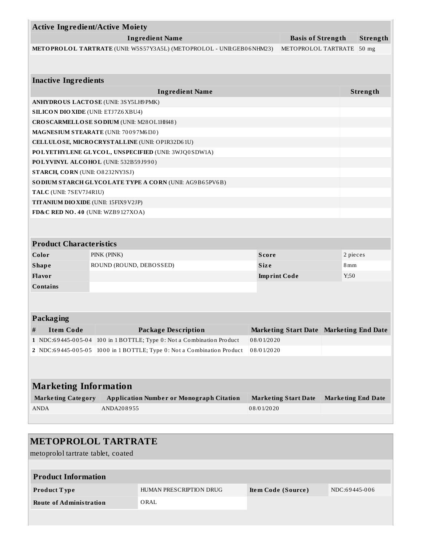| <b>Active Ingredient/Active Moiety</b>                                                       |                                                                        |              |                                           |                           |                     |  |
|----------------------------------------------------------------------------------------------|------------------------------------------------------------------------|--------------|-------------------------------------------|---------------------------|---------------------|--|
| <b>Ingredient Name</b><br><b>Basis of Strength</b>                                           |                                                                        |              |                                           |                           |                     |  |
| METOPROLOL TARTRATE (UNII: W5S57Y3A5L) (METOPROLOL - UNII:GEB06NHM23)<br>METOPROLOL TARTRATE |                                                                        |              |                                           |                           | Strength<br>$50$ mg |  |
|                                                                                              |                                                                        |              |                                           |                           |                     |  |
| <b>Inactive Ingredients</b>                                                                  |                                                                        |              |                                           |                           |                     |  |
|                                                                                              |                                                                        |              |                                           |                           |                     |  |
|                                                                                              | <b>Ingredient Name</b>                                                 |              |                                           |                           | Strength            |  |
|                                                                                              | ANHYDROUS LACTOSE (UNII: 3SY5LH9PMK)                                   |              |                                           |                           |                     |  |
| <b>SILICON DIO XIDE (UNII: ETJ7Z6 XBU4)</b>                                                  |                                                                        |              |                                           |                           |                     |  |
|                                                                                              | CROSCARMELLOSE SODIUM (UNII: M28OL1HH48)                               |              |                                           |                           |                     |  |
|                                                                                              | MAGNESIUM STEARATE (UNII: 70097M6I30)                                  |              |                                           |                           |                     |  |
|                                                                                              | CELLULOSE, MICRO CRYSTALLINE (UNII: OP1R32D61U)                        |              |                                           |                           |                     |  |
|                                                                                              | POLYETHYLENE GLYCOL, UNSPECIFIED (UNII: 3WJQ0SDW1A)                    |              |                                           |                           |                     |  |
|                                                                                              | POLYVINYL ALCOHOL (UNII: 532B59J990)                                   |              |                                           |                           |                     |  |
| STARCH, CORN (UNII: O8232NY3SJ)                                                              |                                                                        |              |                                           |                           |                     |  |
|                                                                                              | <b>SODIUM STARCH GLYCOLATE TYPE A CORN (UNII: AG9B65PV6B)</b>          |              |                                           |                           |                     |  |
| TALC (UNII: 7SEV7J4R1U)                                                                      |                                                                        |              |                                           |                           |                     |  |
| <b>TITANIUM DIO XIDE (UNII: 15FIX9 V2JP)</b>                                                 |                                                                        |              |                                           |                           |                     |  |
| FD&C RED NO. 40 (UNII: WZB9127XOA)                                                           |                                                                        |              |                                           |                           |                     |  |
|                                                                                              |                                                                        |              |                                           |                           |                     |  |
| <b>Product Characteristics</b>                                                               |                                                                        |              |                                           |                           |                     |  |
| Color                                                                                        | PINK (PINK)                                                            | <b>Score</b> |                                           | 2 pieces                  |                     |  |
| <b>Shape</b>                                                                                 | ROUND (ROUND, DEBOSSED)                                                | <b>Size</b>  |                                           | 8 <sub>mm</sub>           |                     |  |
| Flavor                                                                                       |                                                                        |              | <b>Imprint Code</b>                       | Y:50                      |                     |  |
| <b>Contains</b>                                                                              |                                                                        |              |                                           |                           |                     |  |
|                                                                                              |                                                                        |              |                                           |                           |                     |  |
|                                                                                              |                                                                        |              |                                           |                           |                     |  |
|                                                                                              |                                                                        |              |                                           |                           |                     |  |
| Packaging                                                                                    |                                                                        |              |                                           |                           |                     |  |
| <b>Item Code</b><br>#                                                                        | <b>Package Description</b>                                             |              | Marketing Start Date   Marketing End Date |                           |                     |  |
|                                                                                              | 1 NDC:69445-005-04 100 in 1 BOTTLE; Type 0: Not a Combination Product  | 08/01/2020   |                                           |                           |                     |  |
|                                                                                              | 2 NDC:69445-005-05 1000 in 1 BOTTLE; Type 0: Not a Combination Product | 08/01/2020   |                                           |                           |                     |  |
|                                                                                              |                                                                        |              |                                           |                           |                     |  |
|                                                                                              |                                                                        |              |                                           |                           |                     |  |
| <b>Marketing Information</b>                                                                 |                                                                        |              |                                           |                           |                     |  |
| <b>Marketing Category</b>                                                                    | <b>Application Number or Monograph Citation</b>                        |              | <b>Marketing Start Date</b>               | <b>Marketing End Date</b> |                     |  |
| <b>ANDA</b>                                                                                  | ANDA208955                                                             | 08/01/2020   |                                           |                           |                     |  |
|                                                                                              |                                                                        |              |                                           |                           |                     |  |
|                                                                                              |                                                                        |              |                                           |                           |                     |  |
|                                                                                              | <b>METOPROLOL TARTRATE</b>                                             |              |                                           |                           |                     |  |
|                                                                                              |                                                                        |              |                                           |                           |                     |  |
| metoprolol tartrate tablet, coated                                                           |                                                                        |              |                                           |                           |                     |  |
|                                                                                              |                                                                        |              |                                           |                           |                     |  |

| <b>Product Information</b>     |                         |                    |               |
|--------------------------------|-------------------------|--------------------|---------------|
| <b>Product Type</b>            | HUMAN PRESCRIPTION DRUG | Item Code (Source) | NDC:69445-006 |
| <b>Route of Administration</b> | ORAL                    |                    |               |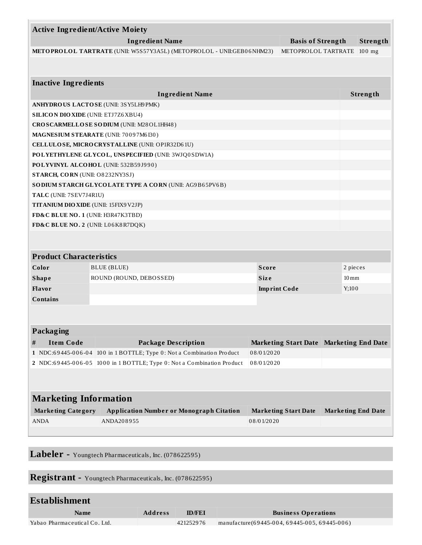|                                                    | <b>Active Ingredient/Active Moiety</b>      |                                                                        |                     |                                         |                           |          |
|----------------------------------------------------|---------------------------------------------|------------------------------------------------------------------------|---------------------|-----------------------------------------|---------------------------|----------|
| <b>Ingredient Name</b><br><b>Basis of Strength</b> |                                             |                                                                        |                     |                                         |                           | Strength |
|                                                    |                                             | METOPROLOL TARTRATE (UNII: W5S57Y3A5L) (METOPROLOL - UNII:GEB06NHM23)  |                     | METOPROLOL TARTRATE                     |                           | $100$ mg |
|                                                    |                                             |                                                                        |                     |                                         |                           |          |
|                                                    | <b>Inactive Ingredients</b>                 |                                                                        |                     |                                         |                           |          |
|                                                    |                                             | <b>Ingredient Name</b>                                                 |                     |                                         |                           | Strength |
|                                                    |                                             | ANHYDROUS LACTOSE (UNII: 3SY5LH9PMK)                                   |                     |                                         |                           |          |
|                                                    | <b>SILICON DIO XIDE (UNII: ETJ7Z6 XBU4)</b> |                                                                        |                     |                                         |                           |          |
|                                                    |                                             | CROSCARMELLOSE SODIUM (UNII: M28OL1HH48)                               |                     |                                         |                           |          |
|                                                    |                                             | MAGNESIUM STEARATE (UNII: 70097M6I30)                                  |                     |                                         |                           |          |
|                                                    |                                             | CELLULOSE, MICRO CRYSTALLINE (UNII: OP1R32D61U)                        |                     |                                         |                           |          |
|                                                    |                                             | POLYETHYLENE GLYCOL, UNSPECIFIED (UNII: 3WJQ0SDW1A)                    |                     |                                         |                           |          |
|                                                    |                                             | POLYVINYL ALCOHOL (UNII: 532B59J990)                                   |                     |                                         |                           |          |
|                                                    | STARCH, CORN (UNII: O8232NY3SJ)             |                                                                        |                     |                                         |                           |          |
|                                                    |                                             | SO DIUM STARCH GLYCOLATE TYPE A CORN (UNII: AG9B65PV6B)                |                     |                                         |                           |          |
|                                                    | TALC (UNII: 7SEV7J4R1U)                     |                                                                        |                     |                                         |                           |          |
|                                                    | TITANIUM DIO XIDE (UNII: 15FIX9 V2JP)       |                                                                        |                     |                                         |                           |          |
|                                                    | FD&C BLUE NO. 1 (UNII: H3R47K3TBD)          |                                                                        |                     |                                         |                           |          |
|                                                    | FD&C BLUE NO. 2 (UNII: L06K8R7DQK)          |                                                                        |                     |                                         |                           |          |
|                                                    | <b>Product Characteristics</b>              |                                                                        |                     |                                         |                           |          |
|                                                    | Color                                       | BLUE (BLUE)                                                            | Score               |                                         | 2 pieces                  |          |
|                                                    | <b>Shape</b>                                | ROUND (ROUND, DEBOSSED)                                                | <b>Size</b>         |                                         | $10 \,\mathrm{mm}$        |          |
|                                                    | Flavor                                      |                                                                        | <b>Imprint Code</b> |                                         | Y;100                     |          |
|                                                    | <b>Contains</b>                             |                                                                        |                     |                                         |                           |          |
|                                                    |                                             |                                                                        |                     |                                         |                           |          |
|                                                    |                                             |                                                                        |                     |                                         |                           |          |
|                                                    | Packaging                                   |                                                                        |                     |                                         |                           |          |
| #                                                  | <b>Item Code</b>                            | <b>Package Description</b>                                             |                     | Marketing Start Date Marketing End Date |                           |          |
|                                                    |                                             | 1 NDC:69445-006-04 100 in 1 BOTTLE; Type 0: Not a Combination Product  | 08/01/2020          |                                         |                           |          |
|                                                    |                                             | 2 NDC:69445-006-05 1000 in 1 BOTTLE; Type 0: Not a Combination Product | 08/01/2020          |                                         |                           |          |
|                                                    |                                             |                                                                        |                     |                                         |                           |          |
|                                                    |                                             |                                                                        |                     |                                         |                           |          |
|                                                    | <b>Marketing Information</b>                |                                                                        |                     |                                         |                           |          |
|                                                    | <b>Marketing Category</b>                   | <b>Application Number or Monograph Citation</b>                        |                     | <b>Marketing Start Date</b>             | <b>Marketing End Date</b> |          |
|                                                    | <b>ANDA</b>                                 | ANDA208955                                                             | 08/01/2020          |                                         |                           |          |
|                                                    |                                             |                                                                        |                     |                                         |                           |          |
|                                                    |                                             |                                                                        |                     |                                         |                           |          |

**Labeler -** Youngtech Pharmaceuticals, Inc. (078622595)

**Registrant -** Youngtech Pharmaceuticals, Inc. (078622595)

| Name                          | <b>Address</b> | <b>ID/FEI</b> | <b>Business Operations</b>                               |
|-------------------------------|----------------|---------------|----------------------------------------------------------|
| Yabao Pharmaceutical Co. Ltd. |                | 421252976     | $\sqrt{m}$ manufacture (69445-004, 69445-005, 69445-006) |